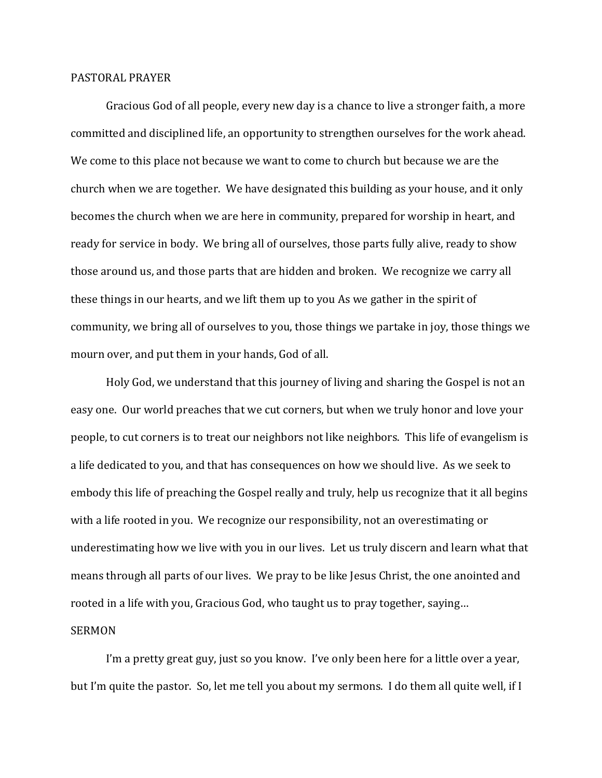## PASTORAL PRAYER

Gracious God of all people, every new day is a chance to live a stronger faith, a more committed and disciplined life, an opportunity to strengthen ourselves for the work ahead. We come to this place not because we want to come to church but because we are the church when we are together. We have designated this building as your house, and it only becomes the church when we are here in community, prepared for worship in heart, and ready for service in body. We bring all of ourselves, those parts fully alive, ready to show those around us, and those parts that are hidden and broken. We recognize we carry all these things in our hearts, and we lift them up to you As we gather in the spirit of community, we bring all of ourselves to you, those things we partake in joy, those things we mourn over, and put them in your hands, God of all.

Holy God, we understand that this journey of living and sharing the Gospel is not an easy one. Our world preaches that we cut corners, but when we truly honor and love your people, to cut corners is to treat our neighbors not like neighbors. This life of evangelism is a life dedicated to you, and that has consequences on how we should live. As we seek to embody this life of preaching the Gospel really and truly, help us recognize that it all begins with a life rooted in you. We recognize our responsibility, not an overestimating or underestimating how we live with you in our lives. Let us truly discern and learn what that means through all parts of our lives. We pray to be like Jesus Christ, the one anointed and rooted in a life with you, Gracious God, who taught us to pray together, saying…

## SERMON

 I'm a pretty great guy, just so you know. I've only been here for a little over a year, but I'm quite the pastor. So, let me tell you about my sermons. I do them all quite well, if I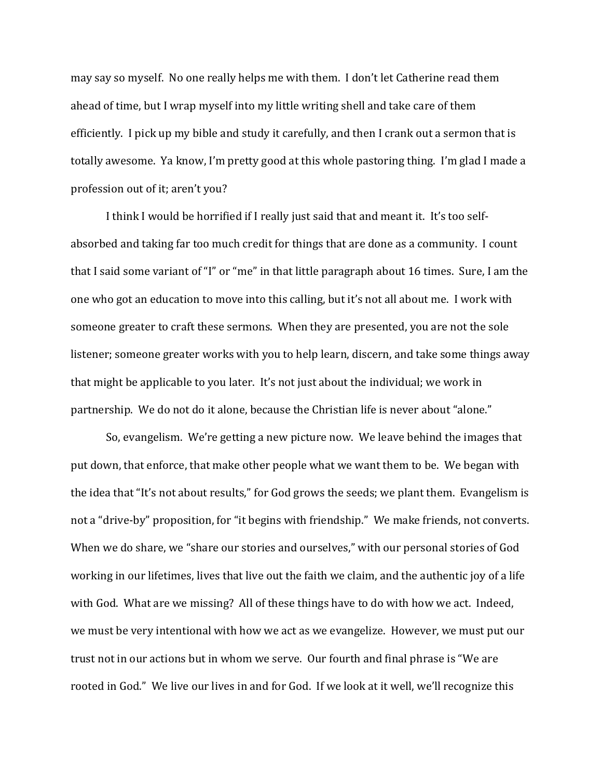may say so myself. No one really helps me with them. I don't let Catherine read them ahead of time, but I wrap myself into my little writing shell and take care of them efficiently. I pick up my bible and study it carefully, and then I crank out a sermon that is totally awesome. Ya know, I'm pretty good at this whole pastoring thing. I'm glad I made a profession out of it; aren't you?

 I think I would be horrified if I really just said that and meant it. It's too selfabsorbed and taking far too much credit for things that are done as a community. I count that I said some variant of "I" or "me" in that little paragraph about 16 times. Sure, I am the one who got an education to move into this calling, but it's not all about me. I work with someone greater to craft these sermons. When they are presented, you are not the sole listener; someone greater works with you to help learn, discern, and take some things away that might be applicable to you later. It's not just about the individual; we work in partnership. We do not do it alone, because the Christian life is never about "alone."

 So, evangelism. We're getting a new picture now. We leave behind the images that put down, that enforce, that make other people what we want them to be. We began with the idea that "It's not about results," for God grows the seeds; we plant them. Evangelism is not a "drive-by" proposition, for "it begins with friendship." We make friends, not converts. When we do share, we "share our stories and ourselves," with our personal stories of God working in our lifetimes, lives that live out the faith we claim, and the authentic joy of a life with God. What are we missing? All of these things have to do with how we act. Indeed, we must be very intentional with how we act as we evangelize. However, we must put our trust not in our actions but in whom we serve. Our fourth and final phrase is "We are rooted in God." We live our lives in and for God. If we look at it well, we'll recognize this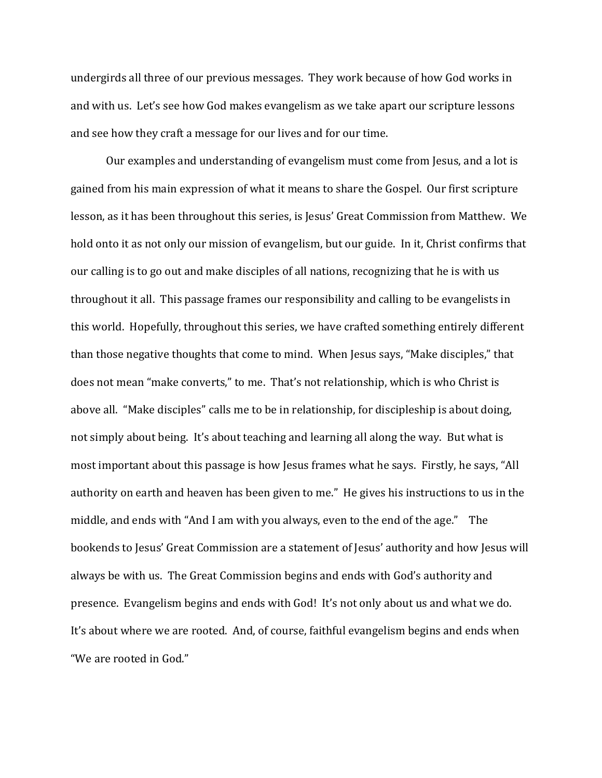undergirds all three of our previous messages. They work because of how God works in and with us. Let's see how God makes evangelism as we take apart our scripture lessons and see how they craft a message for our lives and for our time.

 Our examples and understanding of evangelism must come from Jesus, and a lot is gained from his main expression of what it means to share the Gospel. Our first scripture lesson, as it has been throughout this series, is Jesus' Great Commission from Matthew. We hold onto it as not only our mission of evangelism, but our guide. In it, Christ confirms that our calling is to go out and make disciples of all nations, recognizing that he is with us throughout it all. This passage frames our responsibility and calling to be evangelists in this world. Hopefully, throughout this series, we have crafted something entirely different than those negative thoughts that come to mind. When Jesus says, "Make disciples," that does not mean "make converts," to me. That's not relationship, which is who Christ is above all. "Make disciples" calls me to be in relationship, for discipleship is about doing, not simply about being. It's about teaching and learning all along the way. But what is most important about this passage is how Jesus frames what he says. Firstly, he says, "All authority on earth and heaven has been given to me." He gives his instructions to us in the middle, and ends with "And I am with you always, even to the end of the age." The bookends to Jesus' Great Commission are a statement of Jesus' authority and how Jesus will always be with us. The Great Commission begins and ends with God's authority and presence. Evangelism begins and ends with God! It's not only about us and what we do. It's about where we are rooted. And, of course, faithful evangelism begins and ends when "We are rooted in God."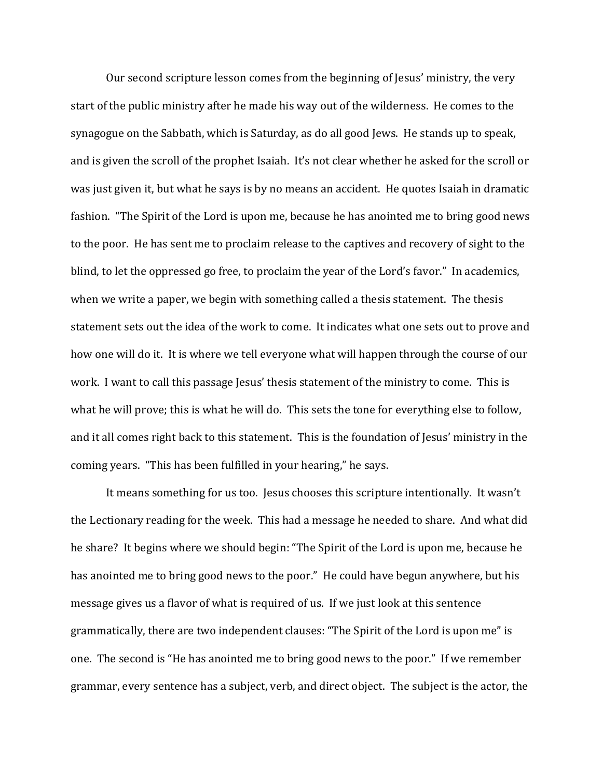Our second scripture lesson comes from the beginning of Jesus' ministry, the very start of the public ministry after he made his way out of the wilderness. He comes to the synagogue on the Sabbath, which is Saturday, as do all good Jews. He stands up to speak, and is given the scroll of the prophet Isaiah. It's not clear whether he asked for the scroll or was just given it, but what he says is by no means an accident. He quotes Isaiah in dramatic fashion. "The Spirit of the Lord is upon me, because he has anointed me to bring good news to the poor. He has sent me to proclaim release to the captives and recovery of sight to the blind, to let the oppressed go free, to proclaim the year of the Lord's favor." In academics, when we write a paper, we begin with something called a thesis statement. The thesis statement sets out the idea of the work to come. It indicates what one sets out to prove and how one will do it. It is where we tell everyone what will happen through the course of our work. I want to call this passage Jesus' thesis statement of the ministry to come. This is what he will prove; this is what he will do. This sets the tone for everything else to follow, and it all comes right back to this statement. This is the foundation of Jesus' ministry in the coming years. "This has been fulfilled in your hearing," he says.

 It means something for us too. Jesus chooses this scripture intentionally. It wasn't the Lectionary reading for the week. This had a message he needed to share. And what did he share? It begins where we should begin: "The Spirit of the Lord is upon me, because he has anointed me to bring good news to the poor." He could have begun anywhere, but his message gives us a flavor of what is required of us. If we just look at this sentence grammatically, there are two independent clauses: "The Spirit of the Lord is upon me" is one. The second is "He has anointed me to bring good news to the poor." If we remember grammar, every sentence has a subject, verb, and direct object. The subject is the actor, the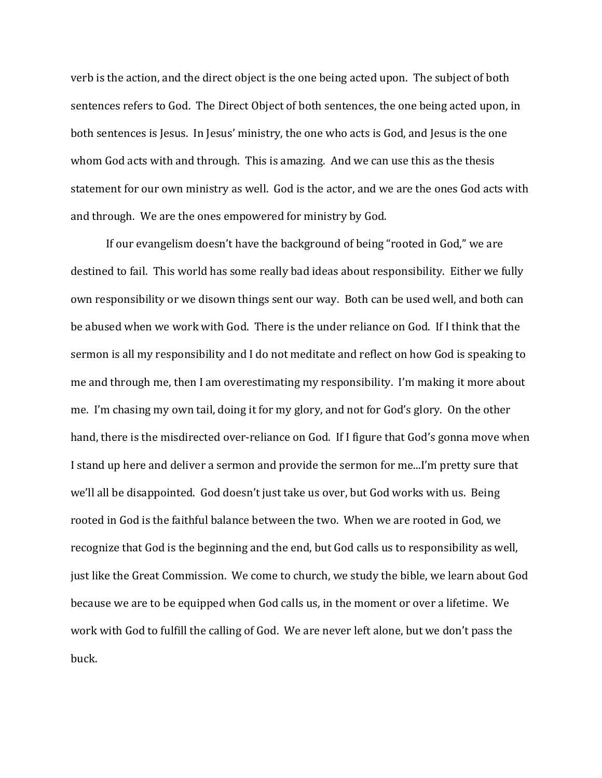verb is the action, and the direct object is the one being acted upon. The subject of both sentences refers to God. The Direct Object of both sentences, the one being acted upon, in both sentences is Jesus. In Jesus' ministry, the one who acts is God, and Jesus is the one whom God acts with and through. This is amazing. And we can use this as the thesis statement for our own ministry as well. God is the actor, and we are the ones God acts with and through. We are the ones empowered for ministry by God.

 If our evangelism doesn't have the background of being "rooted in God," we are destined to fail. This world has some really bad ideas about responsibility. Either we fully own responsibility or we disown things sent our way. Both can be used well, and both can be abused when we work with God. There is the under reliance on God. If I think that the sermon is all my responsibility and I do not meditate and reflect on how God is speaking to me and through me, then I am overestimating my responsibility. I'm making it more about me. I'm chasing my own tail, doing it for my glory, and not for God's glory. On the other hand, there is the misdirected over-reliance on God. If I figure that God's gonna move when I stand up here and deliver a sermon and provide the sermon for me...I'm pretty sure that we'll all be disappointed. God doesn't just take us over, but God works with us. Being rooted in God is the faithful balance between the two. When we are rooted in God, we recognize that God is the beginning and the end, but God calls us to responsibility as well, just like the Great Commission. We come to church, we study the bible, we learn about God because we are to be equipped when God calls us, in the moment or over a lifetime. We work with God to fulfill the calling of God. We are never left alone, but we don't pass the buck.